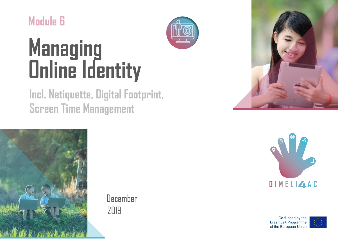

# **Managing Online Identity**

## **Incl. Netiquette, Digital Footprint, Screen Time Management**



December 2019





Co-funded by the Erasmus+ Programme of the European Union

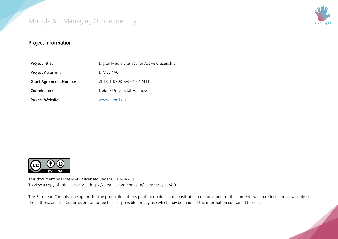

#### Project information

| Project Title:                 | Digital Media Literacy for Active Citizenship |
|--------------------------------|-----------------------------------------------|
| Project Acronym:               | DIMELI4AC                                     |
| <b>Grant Agreement Number:</b> | 2018-1-DE03-KA201-047411                      |
| Coordinator:                   | Liebniz Universität Hannover                  |
| Project Website:               | www.dimeli.eu                                 |



This document by Dimeli4AC is licensed under CC BY-SA 4.0. To view a copy of this license, visit https://creativecommons.org/licenses/by-sa/4.0

The European Commission support for the production of this publication does not constitute an endorsement of the contents which reflects the views only of the authors, and the Commission cannot be held responsible for any use which may be made of the information contained therein.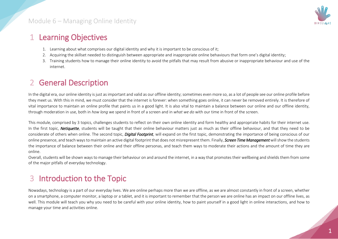

#### 1 Learning Objectives

- 1. Learning about what comprises our digital identity and why it is important to be conscious of it;
- 2. Acquiring the skillset needed to distinguish between appropriate and inappropriate online behaviours that form one's digital identity;
- 3. Training students how to manage their online identity to avoid the pitfalls that may result from abusive or inappropriate behaviour and use of the internet.

#### 2 General Description

In the digital era, our online identity is just as important and valid as our offline identity; sometimes even more so, as a lot of people see our online profile before they meet us. With this in mind, we must consider that the internet is forever: when something goes online, it can never be removed entirely. It is therefore of vital importance to maintain an online profile that paints us in a good light. It is also vital to maintain a balance between our online and our offline identity, through moderation in use, both in *how long* we spend in front of a screen and in *what we do* with our time in front of the screen.

This module, comprised by 3 topics, challenges students to reflect on their own online identity and form healthy and appropriate habits for their internet use. In the first topic, *Netiquette*, students will be taught that their online behaviour matters just as much as their offline behaviour, and that they need to be considerate of others when online. The second topic, *Digital Footprint*, will expand on the first topic, demonstrating the importance of being conscious of our online presence, and teach ways to maintain an active digital footprint that does not misrepresent them. Finally, *Screen Time Management*will show the students the importance of balance between their online and their offline personas, and teach them ways to moderate their actions and the amount of time they are online.

Overall, students will be shown ways to manage their behaviour on and around the internet, in a way that promotes their wellbeing and shields them from some of the major pitfalls of everyday technology.

### 3 Introduction to the Topic

Nowadays, technology is a part of our everyday lives. We are online perhaps more than we are offline, as we are almost constantly in front of a screen, whether on a smartphone, a computer monitor, a laptop or a tablet, and it is important to remember that the person we are online has an impact on our offline lives, as well. This module will teach you why you need to be careful with your online identity, how to paint yourself in a good light in online interactions, and how to manage your time and activities online.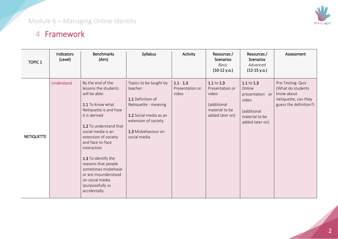

#### 4 Framework

| <b>TOPIC 1</b>    | Indicators<br>(Level) | <b>Benchmarks</b><br>(Aim)                                                                                                                                                                                                                                                                                                                                                               | Syllabus                                                                                                                                                                 | Activity                                | Resources /<br><b>Scenarios</b><br><b>Basic</b><br>$(10-12 y.o.)$                          | Resources /<br><b>Scenarios</b><br>Advanced<br>$(12-15 y.o.)$                                        | Assessment                                                                                              |
|-------------------|-----------------------|------------------------------------------------------------------------------------------------------------------------------------------------------------------------------------------------------------------------------------------------------------------------------------------------------------------------------------------------------------------------------------------|--------------------------------------------------------------------------------------------------------------------------------------------------------------------------|-----------------------------------------|--------------------------------------------------------------------------------------------|------------------------------------------------------------------------------------------------------|---------------------------------------------------------------------------------------------------------|
| <b>NETIQUETTE</b> | Understand            | By the end of the<br>lessons the students<br>will be able:<br>1.1 To know what<br>Netiquette is and how<br>it is derived<br>1.2 To understand that<br>social media is an<br>extension of society<br>and face-to-face<br>interaction<br>1.3 To identify the<br>reasons that people<br>sometimes misbehave<br>or are misunderstood<br>on social media<br>(purposefully vs<br>accidentally. | Topics to be taught by<br>teacher:<br>1.1 Definition of<br>Netiquette - meaning<br>1.2 Social media as an<br>extension of society<br>1.3 Misbehaviour on<br>social media | $1.1 - 1.3$<br>Presentation or<br>video | 1.1 to 1.3<br>Presentation or<br>video<br>(additional<br>material to be<br>added later on) | 1.1 to 1.3<br>Online<br>presentation or<br>video<br>(additional<br>material to be<br>added later on) | Pre-Testing: Quiz<br>(What do students)<br>know about<br>netiquette, can they<br>guess the definition?) |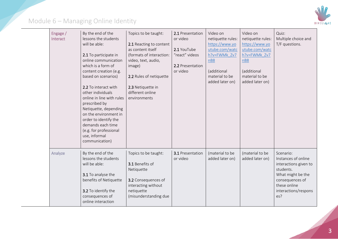

| Engage /<br>Interact | By the end of the<br>lessons the students<br>will be able:<br>2.1 To participate in<br>online communication<br>which is a form of<br>content creation (e.g.<br>based on scenarios)<br>2.2 To interact with<br>other individuals<br>online in line with rules<br>prescribed by<br>Netiquette, depending<br>on the environment in<br>order to identify the<br>demands each time<br>(e.g. for professional<br>use, informal<br>communication) | Topics to be taught:<br>2.1 Reacting to content<br>as content itself<br>(formats of interaction:<br>video, text, audio,<br>image)<br>2.2 Rules of netiquette<br>2.3 Netiquette in<br>different online<br>environments | 2.1 Presentation<br>or video<br>2.1 YouTube<br>"react" videos<br>2.2 Presentation<br>or video | Video on<br>netiquette rules:<br>https://www.yo<br>utube.com/watc<br>h?v=FWMk Zv7<br>nB8<br>(additional<br>material to be<br>added later on) | Video on<br>netiquette rules:<br>https://www.yo<br>utube.com/watc<br>h?v=FWMk Zv7<br>nB8<br>(additional<br>material to be<br>added later on) | Quiz:<br>Multiple choice and<br>T/F questions.                                                                                                                |
|----------------------|--------------------------------------------------------------------------------------------------------------------------------------------------------------------------------------------------------------------------------------------------------------------------------------------------------------------------------------------------------------------------------------------------------------------------------------------|-----------------------------------------------------------------------------------------------------------------------------------------------------------------------------------------------------------------------|-----------------------------------------------------------------------------------------------|----------------------------------------------------------------------------------------------------------------------------------------------|----------------------------------------------------------------------------------------------------------------------------------------------|---------------------------------------------------------------------------------------------------------------------------------------------------------------|
| Analyze              | By the end of the<br>lessons the students<br>will be able:<br>3.1 To analyse the<br>benefits of Netiquette<br>3.2 To identify the<br>consequences of<br>online interaction                                                                                                                                                                                                                                                                 | Topics to be taught:<br>3.1 Benefits of<br>Netiquette<br>3.2 Consequences of<br>interacting without<br>netiquette<br>(misunderstanding due                                                                            | 3.1 Presentation<br>or video                                                                  | (material to be<br>added later on)                                                                                                           | (material to be<br>added later on)                                                                                                           | Scenario:<br>Instances of online<br>interactions given to<br>students.<br>What might be the<br>consequences of<br>these online<br>interactions/respons<br>es? |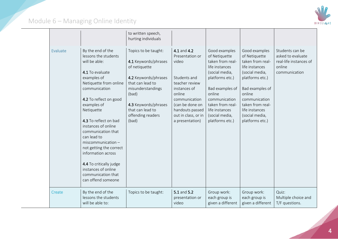

|          |                                                                                                                                                                                                                                                                                                                                                                                                                                                             | to written speech,<br>hurting individuals                                                                                                                                                                         |                                                                                                                                                                                                      |                                                                                                                                                                                                                                    |                                                                                                                                                                                                                                    |                                                                                           |
|----------|-------------------------------------------------------------------------------------------------------------------------------------------------------------------------------------------------------------------------------------------------------------------------------------------------------------------------------------------------------------------------------------------------------------------------------------------------------------|-------------------------------------------------------------------------------------------------------------------------------------------------------------------------------------------------------------------|------------------------------------------------------------------------------------------------------------------------------------------------------------------------------------------------------|------------------------------------------------------------------------------------------------------------------------------------------------------------------------------------------------------------------------------------|------------------------------------------------------------------------------------------------------------------------------------------------------------------------------------------------------------------------------------|-------------------------------------------------------------------------------------------|
| Evaluate | By the end of the<br>lessons the students<br>will be able:<br>4.1 To evaluate<br>examples of<br>Netiquette from online<br>communication<br>4.2 To reflect on good<br>examples of<br>Netiquette<br>4.3 To reflect on bad<br>instances of online<br>communication that<br>can lead to<br>$miscomm$ unication -<br>not getting the correct<br>information across<br>4.4 To critically judge<br>instances of online<br>communication that<br>can offend someone | Topics to be taught:<br>4.1 Keywords/phrases<br>of netiquette<br>4.2 Keywords/phrases<br>that can lead to<br>misunderstandings<br>(bad)<br>4.3 Keywords/phrases<br>that can lead to<br>offending readers<br>(bad) | 4.1 and 4.2<br>Presentation or<br>video<br>Students and<br>teacher review<br>instances of<br>online<br>communication<br>(can be done on<br>handouts passed<br>out in class, or in<br>a presentation) | Good examples<br>of Netiquette<br>taken from real-<br>life instances<br>(social media,<br>platforms etc.)<br>Bad examples of<br>online<br>communication<br>taken from real-<br>life instances<br>(social media,<br>platforms etc.) | Good examples<br>of Netiquette<br>taken from real-<br>life instances<br>(social media,<br>platforms etc.)<br>Bad examples of<br>online<br>communication<br>taken from real-<br>life instances<br>(social media,<br>platforms etc.) | Students can be<br>asked to evaluate<br>real-life instances of<br>online<br>communication |
| Create   | By the end of the<br>lessons the students<br>will be able to:                                                                                                                                                                                                                                                                                                                                                                                               | Topics to be taught:                                                                                                                                                                                              | 5.1 and 5.2<br>presentation or<br>video                                                                                                                                                              | Group work:<br>each group is<br>given a different                                                                                                                                                                                  | Group work:<br>each group is<br>given a different                                                                                                                                                                                  | Quiz:<br>Multiple choice and<br>T/F questions.                                            |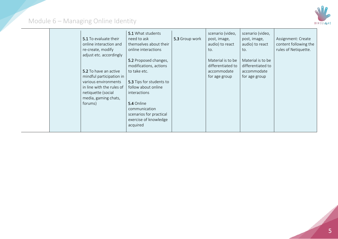

|  | 5.1 To evaluate their<br>online interaction and<br>re-create, modify<br>adjust etc. accordingly<br>5.2 To have an active<br>mindful participation in<br>various environments<br>in line with the rules of<br>netiquette (social<br>media, gaming chats,<br>forums) | 5.1 What students<br>need to ask<br>themselves about their<br>online interactions<br>5.2 Proposed changes,<br>modifications, actions<br>to take etc.<br>5.3 Tips for students to<br>follow about online<br><i>interactions</i><br>5.4 Online<br>communication<br>scenarios for practical<br>exercise of knowledge | 5.3 Group work | scenario (video,<br>post, image,<br>audio) to react<br>to.<br>Material is to be<br>differentiated to<br>accommodate<br>for age group | scenario (video,<br>post, image,<br>audio) to react<br>to.<br>Material is to be<br>differentiated to<br>accommodate<br>for age group | Assignment: Create<br>content following the<br>rules of Netiquette. |
|--|--------------------------------------------------------------------------------------------------------------------------------------------------------------------------------------------------------------------------------------------------------------------|-------------------------------------------------------------------------------------------------------------------------------------------------------------------------------------------------------------------------------------------------------------------------------------------------------------------|----------------|--------------------------------------------------------------------------------------------------------------------------------------|--------------------------------------------------------------------------------------------------------------------------------------|---------------------------------------------------------------------|
|  |                                                                                                                                                                                                                                                                    | acquired                                                                                                                                                                                                                                                                                                          |                |                                                                                                                                      |                                                                                                                                      |                                                                     |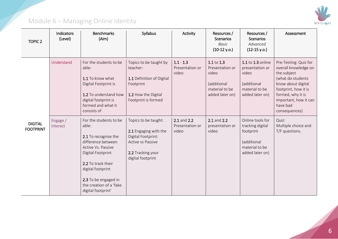

| <b>TOPIC 2</b>                     | Indicators<br>(Level) | <b>Benchmarks</b><br>(Aim)                                                                                                                                                                                                                   | Syllabus                                                                                                                           | Activity                                | Resources /<br>Scenarios<br><b>Basic</b><br>$(10-12 y.o.)$                                     | Resources /<br>Scenarios<br>Advanced<br>$(12-15 y.o.)$                                                | Assessment                                                                                                                                                                                                 |
|------------------------------------|-----------------------|----------------------------------------------------------------------------------------------------------------------------------------------------------------------------------------------------------------------------------------------|------------------------------------------------------------------------------------------------------------------------------------|-----------------------------------------|------------------------------------------------------------------------------------------------|-------------------------------------------------------------------------------------------------------|------------------------------------------------------------------------------------------------------------------------------------------------------------------------------------------------------------|
|                                    | Understand            | For the students to be<br>able:<br>1.1 To know what<br>Digital Footprint is<br>1.2 To understand how<br>digital footprint is<br>formed and what it<br>consists of                                                                            | Topics to be taught by<br>teacher:<br>1.1 Definition of Digital<br>Footprint<br>1.2 How the Digital<br>Footprint is formed         | $1.1 - 1.3$<br>Presentation or<br>video | $1.1$ to $1.3$<br>Presentation or<br>video<br>(additional<br>material to be<br>added later on) | 1.1 to 1.3 online<br>presentation or<br>video<br>(additional<br>material to be<br>added later on)     | Pre-Testing: Quiz for<br>overall knowledge on<br>the subject<br>(what do students<br>know about digital<br>footprint, how it is<br>formed, why it is<br>important, how it can<br>have bad<br>consequences) |
| <b>DIGITAL</b><br><b>FOOTPRINT</b> | Engage /<br>Interact  | For the students to be<br>able:<br>2.1 To recognise the<br>difference between<br>Active Vs. Passive<br>Digital Footprint<br>2.2 To track their<br>digital footprint<br>2.3 To be engaged in<br>the creation of a 'fake<br>digital footprint' | Topics to be taught:<br>2.1 Engaging with the<br>Digital Footprint:<br>Active vs Passive<br>2.2 Tracking your<br>digital footprint | 2.1 and 2.2<br>Presentation or<br>video | 2.1 and 2.2<br>presentation or<br>video                                                        | Online tools for<br>tracking digital<br>footprint<br>(additional<br>material to be<br>added later on) | Quiz:<br>Multiple choice and<br>T/F questions.                                                                                                                                                             |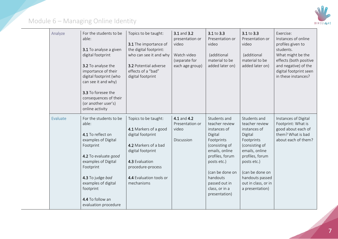

| Analyze  | For the students to be<br>able:<br>3.1 To analyse a given<br>digital footprint<br>3.2 To analyse the<br>importance of their<br>digital footprint (who<br>can see it and why)<br>3.3 To foresee the<br>consequences of their<br>(or another user's)<br>online activity | Topics to be taught:<br>3.1 The importance of<br>the digital footprint:<br>who can see it and why<br>3.2 Potential adverse<br>effects of a "bad"<br>digital footprint                           | 3.1 and 3.2<br>presentation or<br>video<br>Watch video<br>(separate for<br>each age group) | 3.1 to 3.3<br>Presentation or<br>video<br>(additional<br>material to be<br>added later on)                                                                                                                                       | 3.1 to 3.3<br>Presentation or<br>video<br>(additional<br>material to be<br>added later on)                                                                                                                                    | Exercise:<br>Instances of online<br>profiles given to<br>students.<br>What might be the<br>effects (both positive<br>and negative) of the<br>digital footprint seen<br>in these instances? |
|----------|-----------------------------------------------------------------------------------------------------------------------------------------------------------------------------------------------------------------------------------------------------------------------|-------------------------------------------------------------------------------------------------------------------------------------------------------------------------------------------------|--------------------------------------------------------------------------------------------|----------------------------------------------------------------------------------------------------------------------------------------------------------------------------------------------------------------------------------|-------------------------------------------------------------------------------------------------------------------------------------------------------------------------------------------------------------------------------|--------------------------------------------------------------------------------------------------------------------------------------------------------------------------------------------|
| Evaluate | For the students to be<br>able:<br>4.1 To reflect on<br>examples of Digital<br>Footprint<br>4.2 To evaluate good<br>examples of Digital<br>Footprint<br>4.3 To judge bad<br>examples of digital<br>footprint<br>4.4 To follow an<br>evaluation procedure              | Topics to be taught:<br>4.1 Markers of a good<br>digital footprint<br>4.2 Markers of a bad<br>digital footprint<br>4.3 Evaluation<br>procedure-process<br>4.4 Evaluation tools or<br>mechanisms | 4.1 and 4.2<br>Presentation or<br>video<br>Discussion                                      | Students and<br>teacher review<br>instances of<br>Digital<br>Footprints<br>(consisting of<br>emails, online<br>profiles, forum<br>posts etc.)<br>(can be done on<br>handouts<br>passed out in<br>class, or in a<br>presentation) | Students and<br>teacher review<br>instances of<br>Digital<br>Footprints<br>(consisting of<br>emails, online<br>profiles, forum<br>posts etc.)<br>(can be done on<br>handouts passed<br>out in class, or in<br>a presentation) | Instances of Digital<br>Footprint: What is<br>good about each of<br>them? What is bad<br>about each of them?                                                                               |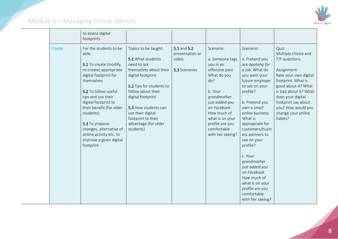

|        | to assess digital<br>footprints                                                                                                                                                                                                                                                                                                                            |                                                                                                                                                                                                                                                                                         |                                                          |                                                                                                                                                                                                                                        |                                                                                                                                                                                                                                                                                                                                                                                                                                             |                                                                                                                                                                                                                                                                 |
|--------|------------------------------------------------------------------------------------------------------------------------------------------------------------------------------------------------------------------------------------------------------------------------------------------------------------------------------------------------------------|-----------------------------------------------------------------------------------------------------------------------------------------------------------------------------------------------------------------------------------------------------------------------------------------|----------------------------------------------------------|----------------------------------------------------------------------------------------------------------------------------------------------------------------------------------------------------------------------------------------|---------------------------------------------------------------------------------------------------------------------------------------------------------------------------------------------------------------------------------------------------------------------------------------------------------------------------------------------------------------------------------------------------------------------------------------------|-----------------------------------------------------------------------------------------------------------------------------------------------------------------------------------------------------------------------------------------------------------------|
| Create | For the students to be<br>able:<br>5.1 To create (modify,<br>re-create) appropriate<br>digital footprint for<br>themselves<br>5.2 To follow useful<br>tips and use their<br>digital footprint to<br>their benefit (for older<br>students)<br>5.3 To propose<br>changes, alternative of<br>online activity etc. to<br>improve a given digital<br>footprint. | Topics to be taught:<br>5.1 What students<br>need to ask<br>themselves about their<br>digital footprint.<br>5.2 Tips for students to<br>follow about their<br>digital footprint<br>5.3 How students can<br>use their digital<br>footprint to their<br>advantage (for older<br>students) | 5.1 and 5.2<br>presentation or<br>video<br>5.3 Scenarios | Scenario:<br>a. Someone tags<br>you in an<br>offensive post.<br>What do you<br>do?<br>b. Your<br>grandmother<br>just added you<br>on Facebook.<br>How much of<br>what is on your<br>profile are you<br>comfortable<br>with her seeing? | Scenario:<br>a. Pretend you<br>are applying for<br>a job. What do<br>you want your<br>future employer<br>to see on your<br>profile?<br>b. Pretend you<br>own a small<br>online business.<br>What is<br>appropriate for<br>customers/busin<br>ess partners to<br>see on your<br>profile?<br>c. Your<br>grandmother<br>just added you<br>on Facebook.<br>How much of<br>what is on your<br>profile are you<br>comfortable<br>with her seeing? | Quiz:<br>Multiple choice and<br>T/F questions.<br>Assignment:<br>Rate your own digital<br>footprint. What is<br>good about it? What<br>is bad about it? What<br>does your digital<br>footprint say about<br>you? How would you<br>change your online<br>habits? |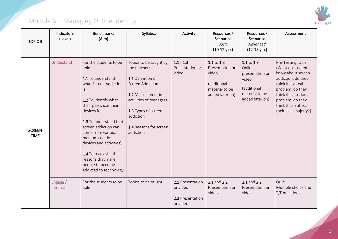

| TOPIC <sub>3</sub>           | Indicators<br>(Level) | <b>Benchmarks</b><br>(Aim)                                                                                                                                                                                                                                                                                                                                            | Syllabus                                                                                                                                                                                                      | Activity                                                     | Resources /<br><b>Scenarios</b><br><b>Basic</b><br>$(10-12 y.o.)$                          | Resources /<br><b>Scenarios</b><br>Advanced<br>$(12-15 y.o.)$                                        | Assessment                                                                                                                                                                                                              |
|------------------------------|-----------------------|-----------------------------------------------------------------------------------------------------------------------------------------------------------------------------------------------------------------------------------------------------------------------------------------------------------------------------------------------------------------------|---------------------------------------------------------------------------------------------------------------------------------------------------------------------------------------------------------------|--------------------------------------------------------------|--------------------------------------------------------------------------------------------|------------------------------------------------------------------------------------------------------|-------------------------------------------------------------------------------------------------------------------------------------------------------------------------------------------------------------------------|
| <b>SCREEN</b><br><b>TIME</b> | Understand            | For the students to be<br>able:<br>1.1 To understand<br>what Screen Addiction<br>İS.<br>1.2 To identify what<br>their peers use their<br>devices for<br>1.3 To understand that<br>screen addiction can<br>come from various<br>mediums (various<br>devices and activities)<br>1.4 To recognise the<br>reasons that make<br>people to become<br>addicted to technology | Topics to be taught by<br>the teacher:<br>1.1 Definition of<br>Screen Addiction<br>1.2 Main screen time<br>activities of teenagers<br>1.3 Types of screen<br>addiction<br>1.4 Reasons for screen<br>addiction | $1.1 - 1.3$<br>Presentation or<br>video                      | 1.1 to 1.3<br>Presentation or<br>video<br>(additional<br>material to be<br>added later on) | 1.1 to 1.3<br>Online<br>presentation or<br>video<br>(additional<br>material to be<br>added later on) | Pre-Testing: Quiz<br>(What do students<br>know about screen<br>addiction, do they<br>think it is a real<br>problem, do they<br>think it's a serious<br>problem, do they<br>think it can affect<br>their lives majorly?) |
|                              | Engage /<br>Interact  | For the students to be<br>able:                                                                                                                                                                                                                                                                                                                                       | Topics to be taught:                                                                                                                                                                                          | 2.1 Presentation<br>or video<br>2.2 Presentation<br>or video | 2.1 and 2.2<br>Presentation or<br>video                                                    | 2.1 and 2.2<br>Presentation or<br>video                                                              | Quiz:<br>Multiple choice and<br>T/F questions.                                                                                                                                                                          |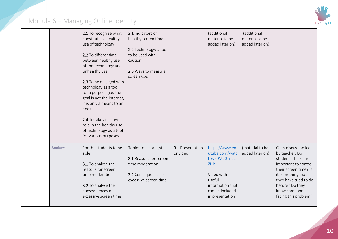

|         | 2.1 To recognise what<br>constitutes a healthy<br>use of technology<br>2.2 To differentiate<br>between healthy use<br>of the technology and<br>unhealthy use<br>2.3 To be engaged with<br>technology as a tool<br>for a purpose (i.e. the<br>goal is not the internet,<br>it is only a means to an<br>end)<br>2.4 To take an active<br>role in the healthy use<br>of technology as a tool<br>for various purposes | 2.1 Indicators of<br>healthy screen time<br>2.2 Technology: a tool<br>to be used with<br>caution<br>2.3 Ways to measure<br>screen use. |                              | (additional<br>material to be<br>added later on)                                                                                          | (additional<br>material to be<br>added later on) |                                                                                                                                                                                                                          |
|---------|-------------------------------------------------------------------------------------------------------------------------------------------------------------------------------------------------------------------------------------------------------------------------------------------------------------------------------------------------------------------------------------------------------------------|----------------------------------------------------------------------------------------------------------------------------------------|------------------------------|-------------------------------------------------------------------------------------------------------------------------------------------|--------------------------------------------------|--------------------------------------------------------------------------------------------------------------------------------------------------------------------------------------------------------------------------|
| Analyze | For the students to be<br>able:<br>3.1 To analyse the<br>reasons for screen<br>time moderation<br>3.2 To analyse the<br>consequences of<br>excessive screen time                                                                                                                                                                                                                                                  | Topics to be taught:<br>3.1 Reasons for screen<br>time moderation.<br>3.2 Consequences of<br>excessive screen time.                    | 3.1 Presentation<br>or video | https://www.yo<br>utube.com/watc<br>h?v=0Me0Tn22<br>ZHk<br>Video with<br>useful<br>information that<br>can be included<br>in presentation | (material to be<br>added later on)               | Class discussion led<br>by teacher: Do<br>students think it is<br>important to control<br>their screen time? Is<br>it something that<br>they have tried to do<br>before? Do they<br>know someone<br>facing this problem? |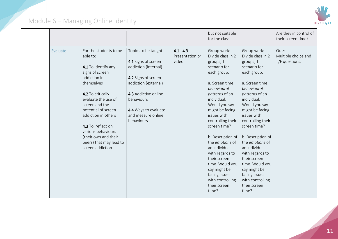

|                 |                                                                                                                                                                                                                                                                                                                                          |                                                                                                                                                                                                                      |                                         | but not suitable<br>for the class                                                                                                                                                                                                                                                                                                                                                                                                          |                                                                                                                                                                                                                                                                                                                                                                                                                                            | Are they in control of<br>their screen time?   |
|-----------------|------------------------------------------------------------------------------------------------------------------------------------------------------------------------------------------------------------------------------------------------------------------------------------------------------------------------------------------|----------------------------------------------------------------------------------------------------------------------------------------------------------------------------------------------------------------------|-----------------------------------------|--------------------------------------------------------------------------------------------------------------------------------------------------------------------------------------------------------------------------------------------------------------------------------------------------------------------------------------------------------------------------------------------------------------------------------------------|--------------------------------------------------------------------------------------------------------------------------------------------------------------------------------------------------------------------------------------------------------------------------------------------------------------------------------------------------------------------------------------------------------------------------------------------|------------------------------------------------|
| <b>Evaluate</b> | For the students to be<br>able to:<br>4.1 To identify any<br>signs of screen<br>addiction in<br>themselves<br>4.2 To critically<br>evaluate the use of<br>screen and the<br>potential of screen<br>addiction in others<br>4.3 To reflect on<br>various behaviours<br>(their own and their<br>peers) that may lead to<br>screen addiction | Topics to be taught:<br>4.1 Signs of screen<br>addiction (internal)<br>4.2 Signs of screen<br>addiction (external)<br>4.3 Addictive online<br>behaviours<br>4.4 Ways to evaluate<br>and measure online<br>behaviours | $4.1 - 4.3$<br>Presentation or<br>video | Group work:<br>Divide class in 2<br>groups, 1<br>scenario for<br>each group:<br>a. Screen time<br>behavioural<br>patterns of an<br>individual.<br>Would you say<br>might be facing<br>issues with<br>controlling their<br>screen time?<br>b. Description of<br>the <i>emotions</i> of<br>an individual<br>with regards to<br>their screen<br>time. Would you<br>say might be<br>facing issues<br>with controlling<br>their screen<br>time? | Group work:<br>Divide class in 2<br>groups, 1<br>scenario for<br>each group:<br>a. Screen time<br>behavioural<br>patterns of an<br>individual.<br>Would you say<br>might be facing<br>issues with<br>controlling their<br>screen time?<br>b. Description of<br>the <i>emotions</i> of<br>an individual<br>with regards to<br>their screen<br>time. Would you<br>say might be<br>facing issues<br>with controlling<br>their screen<br>time? | Quiz:<br>Multiple choice and<br>T/F questions. |